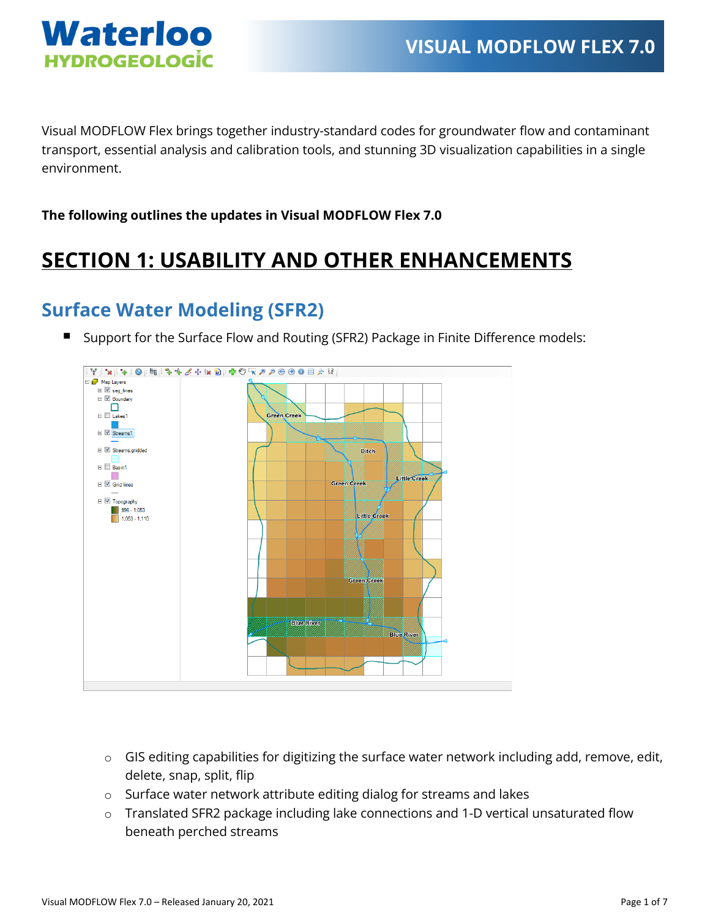

Visual MODFLOW Flex brings together industry-standard codes for groundwater flow and contaminant transport, essential analysis and calibration tools, and stunning 3D visualization capabilities in a single environment.

**The following outlines the updates in Visual MODFLOW Flex 7.0**

## **SECTION 1: USABILITY AND OTHER ENHANCEMENTS**

#### **Surface Water Modeling (SFR2)**

Support for the Surface Flow and Routing (SFR2) Package in Finite Difference models:



- o GIS editing capabilities for digitizing the surface water network including add, remove, edit, delete, snap, split, flip
- o Surface water network attribute editing dialog for streams and lakes
- o Translated SFR2 package including lake connections and 1-D vertical unsaturated flow beneath perched streams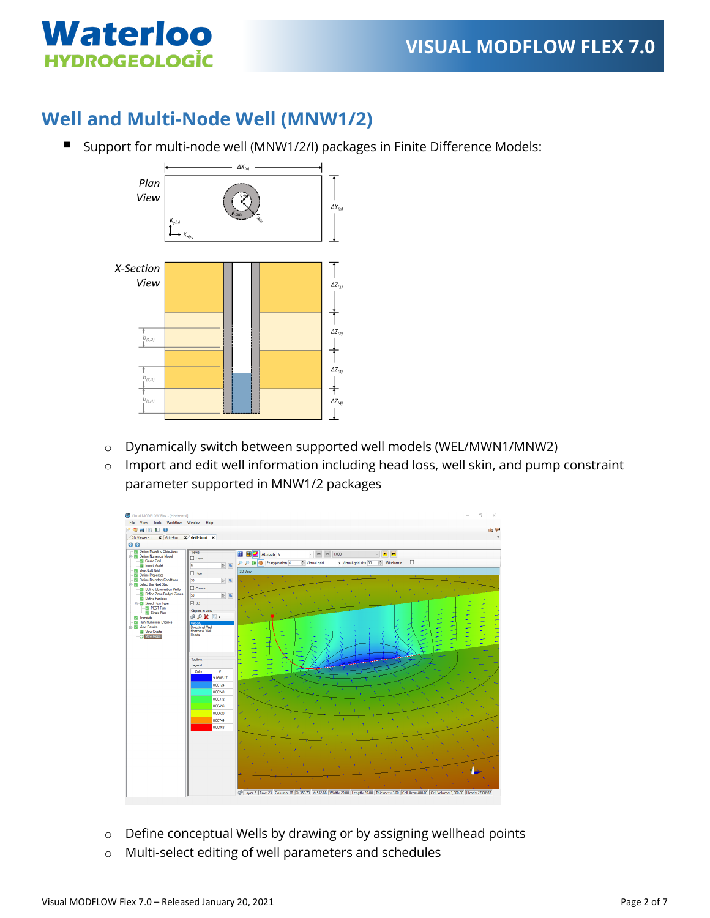

#### **Well and Multi-Node Well (MNW1/2)**

■ Support for multi-node well (MNW1/2/I) packages in Finite Difference Models:



- o Dynamically switch between supported well models (WEL/MWN1/MNW2)
- o Import and edit well information including head loss, well skin, and pump constraint parameter supported in MNW1/2 packages



- o Define conceptual Wells by drawing or by assigning wellhead points
- o Multi-select editing of well parameters and schedules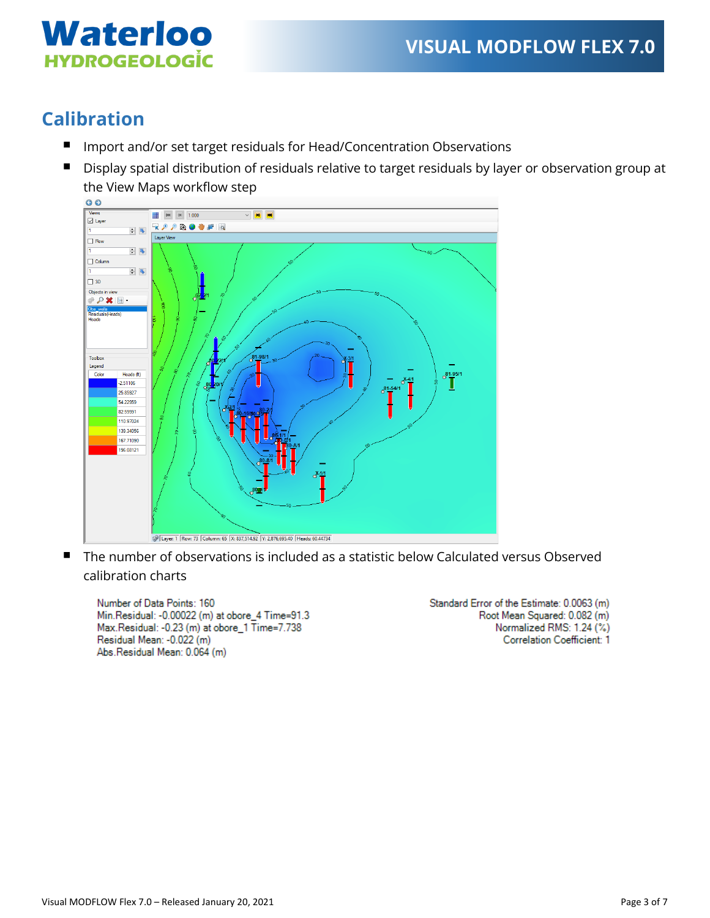

### **Calibration**

- Import and/or set target residuals for Head/Concentration Observations
- Display spatial distribution of residuals relative to target residuals by layer or observation group at the View Maps workflow step



 The number of observations is included as a statistic below Calculated versus Observed calibration charts

Number of Data Points: 160 Min.Residual: -0.00022 (m) at obore\_4 Time=91.3 Max.Residual: -0.23 (m) at obore\_1 Time=7.738 Residual Mean: - 0.022 (m) Abs.Residual Mean: 0.064 (m)

Standard Error of the Estimate: 0.0063 (m) Root Mean Squared: 0.082 (m) Normalized RMS: 1.24 (%) **Correlation Coefficient: 1**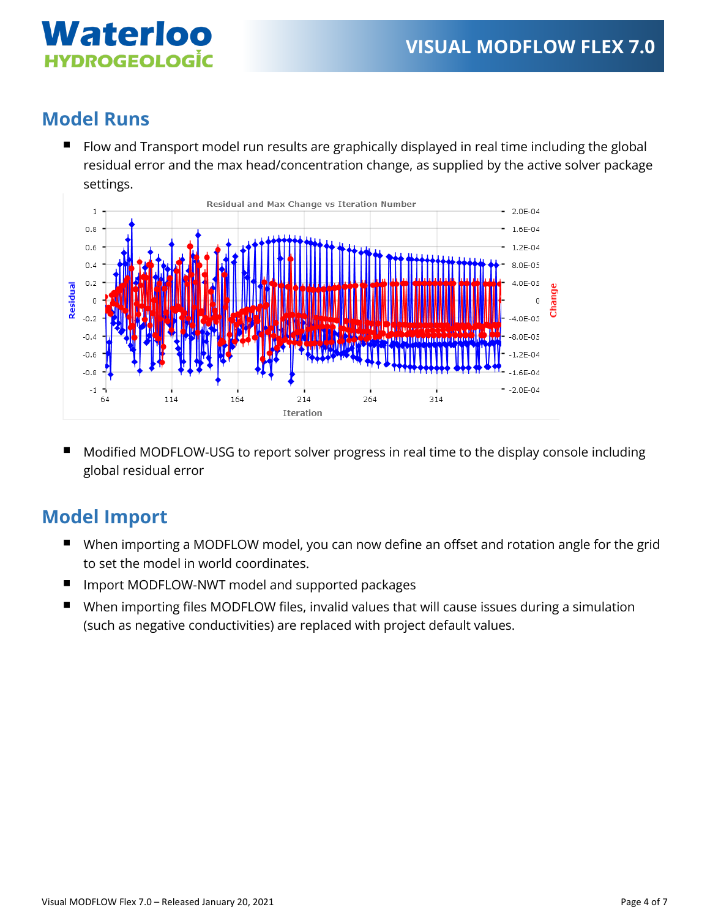

### **Model Runs**

■ Flow and Transport model run results are graphically displayed in real time including the global residual error and the max head/concentration change, as supplied by the active solver package settings.



 Modified MODFLOW-USG to report solver progress in real time to the display console including global residual error

### **Model Import**

- When importing a MODFLOW model, you can now define an offset and rotation angle for the grid to set the model in world coordinates.
- Import MODFLOW-NWT model and supported packages
- When importing files MODFLOW files, invalid values that will cause issues during a simulation (such as negative conductivities) are replaced with project default values.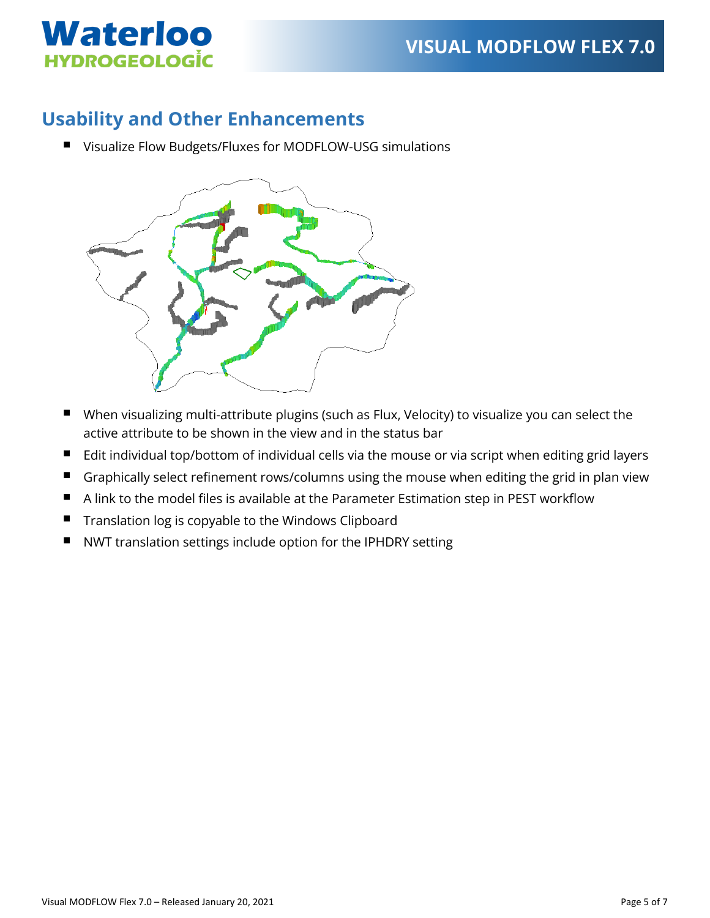

#### **Usability and Other Enhancements**

■ Visualize Flow Budgets/Fluxes for MODFLOW-USG simulations



- When visualizing multi-attribute plugins (such as Flux, Velocity) to visualize you can select the active attribute to be shown in the view and in the status bar
- Edit individual top/bottom of individual cells via the mouse or via script when editing grid layers
- Graphically select refinement rows/columns using the mouse when editing the grid in plan view
- <sup>A</sup> link to the model files is available at the Parameter Estimation step in PEST workflow
- **Translation log is copyable to the Windows Clipboard**
- NWT translation settings include option for the IPHDRY setting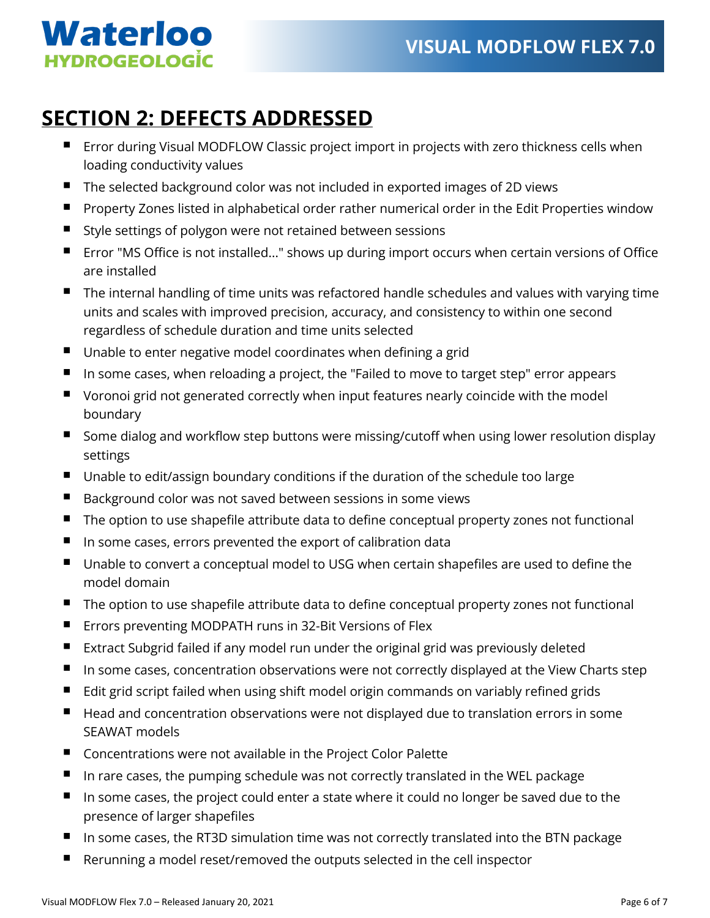# Waterloo **HYDROGEOLOGIC**

## **SECTION 2: DEFECTS ADDRESSED**

- **EXTERS FIRD FIRD FILO INTE CONTEX IS CONTEX** Error contributions with zero thickness cells when loading conductivity values
- The selected background color was not included in exported images of 2D views
- **P** Property Zones listed in alphabetical order rather numerical order in the Edit Properties window
- Style settings of polygon were not retained between sessions
- Error "MS Office is not installed..." shows up during import occurs when certain versions of Office are installed
- The internal handling of time units was refactored handle schedules and values with varying time units and scales with improved precision, accuracy, and consistency to within one second regardless of schedule duration and time units selected
- Unable to enter negative model coordinates when defining a grid
- In some cases, when reloading a project, the "Failed to move to target step" error appears
- Voronoi grid not generated correctly when input features nearly coincide with the model boundary
- Some dialog and workflow step buttons were missing/cutoff when using lower resolution display settings
- Unable to edit/assign boundary conditions if the duration of the schedule too large
- Background color was not saved between sessions in some views
- The option to use shapefile attribute data to define conceptual property zones not functional
- In some cases, errors prevented the export of calibration data
- Unable to convert a conceptual model to USG when certain shapefiles are used to define the model domain
- The option to use shapefile attribute data to define conceptual property zones not functional
- Errors preventing MODPATH runs in 32-Bit Versions of Flex
- Extract Subgrid failed if any model run under the original grid was previously deleted
- In some cases, concentration observations were not correctly displayed at the View Charts step
- Edit grid script failed when using shift model origin commands on variably refined grids
- Head and concentration observations were not displayed due to translation errors in some SEAWAT models
- Concentrations were not available in the Project Color Palette
- In rare cases, the pumping schedule was not correctly translated in the WEL package
- In some cases, the project could enter a state where it could no longer be saved due to the presence of larger shapefiles
- In some cases, the RT3D simulation time was not correctly translated into the BTN package
- Rerunning a model reset/removed the outputs selected in the cell inspector